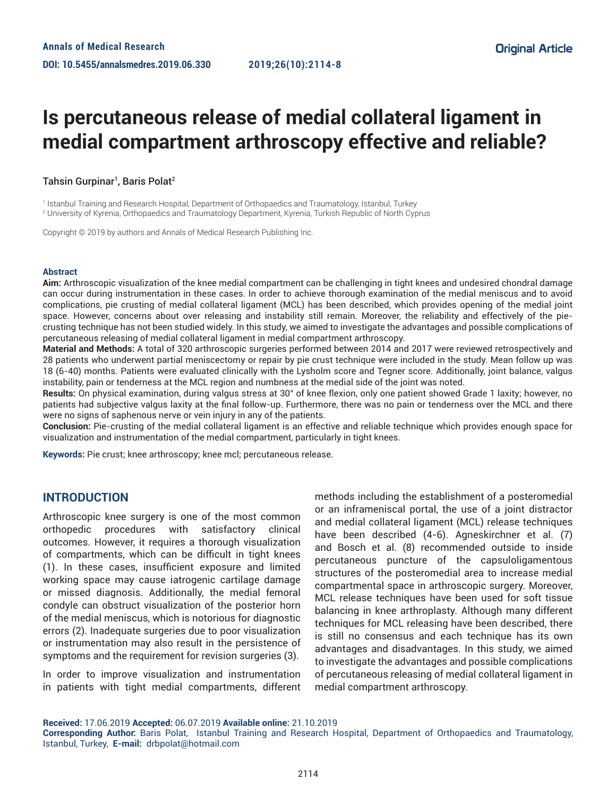# **Is percutaneous release of medial collateral ligament in medial compartment arthroscopy effective and reliable?**

### Tahsin Gurpinar<sup>1</sup>, Baris Polat<sup>2</sup>

1 Istanbul Training and Research Hospital, Department of Orthopaedics and Traumatology, Istanbul, Turkey

2 University of Kyrenia, Orthopaedics and Traumatology Department, Kyrenia, Turkish Republic of North Cyprus

Copyright © 2019 by authors and Annals of Medical Research Publishing Inc.

#### **Abstract**

**Aim:** Arthroscopic visualization of the knee medial compartment can be challenging in tight knees and undesired chondral damage can occur during instrumentation in these cases. In order to achieve thorough examination of the medial meniscus and to avoid complications, pie crusting of medial collateral ligament (MCL) has been described, which provides opening of the medial joint space. However, concerns about over releasing and instability still remain. Moreover, the reliability and effectively of the piecrusting technique has not been studied widely. In this study, we aimed to investigate the advantages and possible complications of percutaneous releasing of medial collateral ligament in medial compartment arthroscopy.

**Material and Methods:** A total of 320 arthroscopic surgeries performed between 2014 and 2017 were reviewed retrospectively and 28 patients who underwent partial meniscectomy or repair by pie crust technique were included in the study. Mean follow up was 18 (6-40) months. Patients were evaluated clinically with the Lysholm score and Tegner score. Additionally, joint balance, valgus instability, pain or tenderness at the MCL region and numbness at the medial side of the joint was noted.

**Results:** On physical examination, during valgus stress at 30° of knee flexion, only one patient showed Grade 1 laxity; however, no patients had subjective valgus laxity at the final follow-up. Furthermore, there was no pain or tenderness over the MCL and there were no signs of saphenous nerve or vein injury in any of the patients.

**Conclusion:** Pie-crusting of the medial collateral ligament is an effective and reliable technique which provides enough space for visualization and instrumentation of the medial compartment, particularly in tight knees.

**Keywords:** Pie crust; knee arthroscopy; knee mcl; percutaneous release.

## **INTRODUCTION**

Arthroscopic knee surgery is one of the most common orthopedic procedures with satisfactory clinical outcomes. However, it requires a thorough visualization of compartments, which can be difficult in tight knees (1). In these cases, insufficient exposure and limited working space may cause iatrogenic cartilage damage or missed diagnosis. Additionally, the medial femoral condyle can obstruct visualization of the posterior horn of the medial meniscus, which is notorious for diagnostic errors (2). Inadequate surgeries due to poor visualization or instrumentation may also result in the persistence of symptoms and the requirement for revision surgeries (3).

In order to improve visualization and instrumentation in patients with tight medial compartments, different methods including the establishment of a posteromedial or an inframeniscal portal, the use of a joint distractor and medial collateral ligament (MCL) release techniques have been described (4-6). Agneskirchner et al. (7) and Bosch et al. (8) recommended outside to inside percutaneous puncture of the capsuloligamentous structures of the posteromedial area to increase medial compartmental space in arthroscopic surgery. Moreover, MCL release techniques have been used for soft tissue balancing in knee arthroplasty. Although many different techniques for MCL releasing have been described, there is still no consensus and each technique has its own advantages and disadvantages. In this study, we aimed to investigate the advantages and possible complications of percutaneous releasing of medial collateral ligament in medial compartment arthroscopy.

**Received:** 17.06.2019 **Accepted:** 06.07.2019 **Available online:** 21.10.2019

**Corresponding Author:** Baris Polat, Istanbul Training and Research Hospital, Department of Orthopaedics and Traumatology, Istanbul, Turkey, **E-mail:** drbpolat@hotmail.com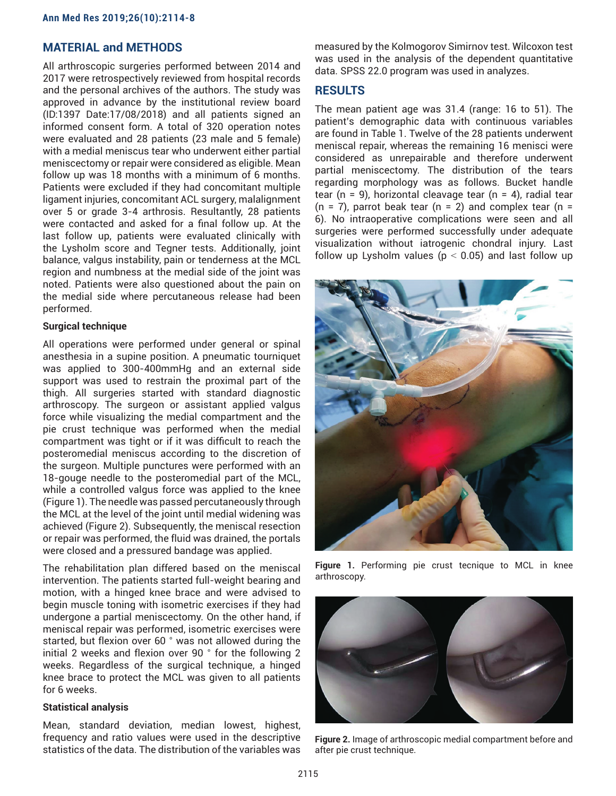## **MATERIAL and METHODS**

All arthroscopic surgeries performed between 2014 and 2017 were retrospectively reviewed from hospital records and the personal archives of the authors. The study was approved in advance by the institutional review board (ID:1397 Date:17/08/2018) and all patients signed an informed consent form. A total of 320 operation notes were evaluated and 28 patients (23 male and 5 female) with a medial meniscus tear who underwent either partial meniscectomy or repair were considered as eligible. Mean follow up was 18 months with a minimum of 6 months. Patients were excluded if they had concomitant multiple ligament injuries, concomitant ACL surgery, malalignment over 5 or grade 3-4 arthrosis. Resultantly, 28 patients were contacted and asked for a final follow up. At the last follow up, patients were evaluated clinically with the Lysholm score and Tegner tests. Additionally, joint balance, valgus instability, pain or tenderness at the MCL region and numbness at the medial side of the joint was noted. Patients were also questioned about the pain on the medial side where percutaneous release had been performed.

#### **Surgical technique**

All operations were performed under general or spinal anesthesia in a supine position. A pneumatic tourniquet was applied to 300-400mmHg and an external side support was used to restrain the proximal part of the thigh. All surgeries started with standard diagnostic arthroscopy. The surgeon or assistant applied valgus force while visualizing the medial compartment and the pie crust technique was performed when the medial compartment was tight or if it was difficult to reach the posteromedial meniscus according to the discretion of the surgeon. Multiple punctures were performed with an 18-gouge needle to the posteromedial part of the MCL, while a controlled valgus force was applied to the knee (Figure 1). The needle was passed percutaneously through the MCL at the level of the joint until medial widening was achieved (Figure 2). Subsequently, the meniscal resection or repair was performed, the fluid was drained, the portals were closed and a pressured bandage was applied.

The rehabilitation plan differed based on the meniscal intervention. The patients started full-weight bearing and motion, with a hinged knee brace and were advised to begin muscle toning with isometric exercises if they had undergone a partial meniscectomy. On the other hand, if meniscal repair was performed, isometric exercises were started, but flexion over 60 ° was not allowed during the initial 2 weeks and flexion over 90 ° for the following 2 weeks. Regardless of the surgical technique, a hinged knee brace to protect the MCL was given to all patients for 6 weeks.

#### **Statistical analysis**

Mean, standard deviation, median lowest, highest, frequency and ratio values were used in the descriptive statistics of the data. The distribution of the variables was measured by the Kolmogorov Simirnov test. Wilcoxon test was used in the analysis of the dependent quantitative data. SPSS 22.0 program was used in analyzes.

## **RESULTS**

The mean patient age was 31.4 (range: 16 to 51). The patient's demographic data with continuous variables are found in Table 1. Twelve of the 28 patients underwent meniscal repair, whereas the remaining 16 menisci were considered as unrepairable and therefore underwent partial meniscectomy. The distribution of the tears regarding morphology was as follows. Bucket handle tear ( $n = 9$ ), horizontal cleavage tear ( $n = 4$ ), radial tear  $(n = 7)$ , parrot beak tear  $(n = 2)$  and complex tear  $(n = 1)$ 6). No intraoperative complications were seen and all surgeries were performed successfully under adequate visualization without iatrogenic chondral injury. Last follow up Lysholm values ( $p < 0.05$ ) and last follow up



**Figure 1.** Performing pie crust tecnique to MCL in knee arthroscopy.



**Figure 2.** Image of arthroscopic medial compartment before and after pie crust technique.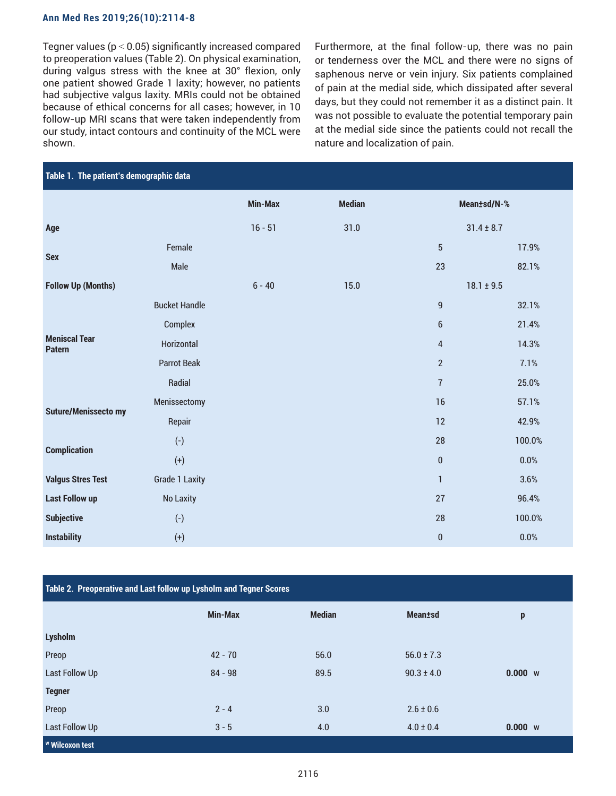#### **Ann Med Res 2019;26(10):2114-8**

Tegner values ( $p < 0.05$ ) significantly increased compared to preoperation values (Table 2). On physical examination, during valgus stress with the knee at 30° flexion, only one patient showed Grade 1 laxity; however, no patients had subjective valgus laxity. MRIs could not be obtained because of ethical concerns for all cases; however, in 10 follow-up MRI scans that were taken independently from our study, intact contours and continuity of the MCL were shown.

Furthermore, at the final follow-up, there was no pain or tenderness over the MCL and there were no signs of saphenous nerve or vein injury. Six patients complained of pain at the medial side, which dissipated after several days, but they could not remember it as a distinct pain. It was not possible to evaluate the potential temporary pain at the medial side since the patients could not recall the nature and localization of pain.

| Table 1. The patient's demographic data |                       |                |               |                  |         |  |  |
|-----------------------------------------|-----------------------|----------------|---------------|------------------|---------|--|--|
|                                         |                       | <b>Min-Max</b> | <b>Median</b> | Mean±sd/N-%      |         |  |  |
| Age                                     |                       | $16 - 51$      | 31.0          | $31.4 \pm 8.7$   |         |  |  |
| <b>Sex</b>                              | Female                |                |               | 5                | 17.9%   |  |  |
|                                         | Male                  |                |               | 23               | 82.1%   |  |  |
| <b>Follow Up (Months)</b>               |                       | $6 - 40$       | 15.0          | $18.1 \pm 9.5$   |         |  |  |
| <b>Meniscal Tear</b><br><b>Patern</b>   | <b>Bucket Handle</b>  |                |               | $\boldsymbol{9}$ | 32.1%   |  |  |
|                                         | Complex               |                |               | 6                | 21.4%   |  |  |
|                                         | <b>Horizontal</b>     |                |               | 4                | 14.3%   |  |  |
|                                         | <b>Parrot Beak</b>    |                |               | $\overline{2}$   | 7.1%    |  |  |
|                                         | Radial                |                |               | $\overline{7}$   | 25.0%   |  |  |
| <b>Suture/Menissecto my</b>             | Menissectomy          |                |               | 16               | 57.1%   |  |  |
|                                         | Repair                |                |               | 12               | 42.9%   |  |  |
| <b>Complication</b>                     | $(-)$                 |                |               | 28               | 100.0%  |  |  |
|                                         | $(+)$                 |                |               | 0                | 0.0%    |  |  |
| <b>Valgus Stres Test</b>                | <b>Grade 1 Laxity</b> |                |               | $\mathbf{1}$     | 3.6%    |  |  |
| <b>Last Follow up</b>                   | <b>No Laxity</b>      |                |               | 27               | 96.4%   |  |  |
| <b>Subjective</b>                       | $(-)$                 |                |               | 28               | 100.0%  |  |  |
| <b>Instability</b>                      | $^{(+)}$              |                |               | $\pmb{0}$        | $0.0\%$ |  |  |

| Table 2. Preoperative and Last follow up Lysholm and Tegner Scores |                |               |                 |         |  |  |  |
|--------------------------------------------------------------------|----------------|---------------|-----------------|---------|--|--|--|
|                                                                    | <b>Min-Max</b> | <b>Median</b> | <b>Mean</b> tsd | p       |  |  |  |
| <b>Lysholm</b>                                                     |                |               |                 |         |  |  |  |
| Preop                                                              | $42 - 70$      | 56.0          | $56.0 \pm 7.3$  |         |  |  |  |
| <b>Last Follow Up</b>                                              | $84 - 98$      | 89.5          | $90.3 \pm 4.0$  | 0.000 w |  |  |  |
| <b>Tegner</b>                                                      |                |               |                 |         |  |  |  |
| Preop                                                              | $2 - 4$        | 3.0           | $2.6 \pm 0.6$   |         |  |  |  |
| <b>Last Follow Up</b>                                              | $3 - 5$        | 4.0           | $4.0 \pm 0.4$   | 0.000 w |  |  |  |
| <b>W</b> Wilcoxon test                                             |                |               |                 |         |  |  |  |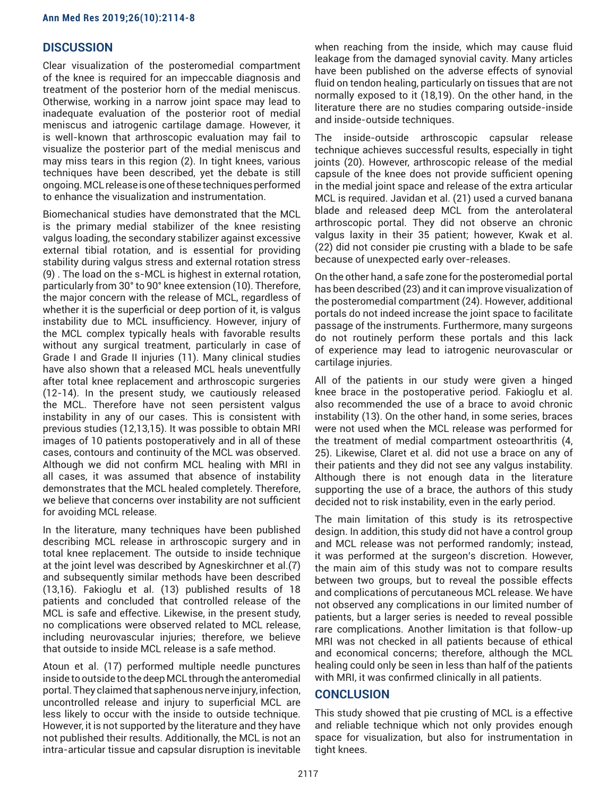## **DISCUSSION**

Clear visualization of the posteromedial compartment of the knee is required for an impeccable diagnosis and treatment of the posterior horn of the medial meniscus. Otherwise, working in a narrow joint space may lead to inadequate evaluation of the posterior root of medial meniscus and iatrogenic cartilage damage. However, it is well-known that arthroscopic evaluation may fail to visualize the posterior part of the medial meniscus and may miss tears in this region (2). In tight knees, various techniques have been described, yet the debate is still ongoing. MCL release is one of these techniques performed to enhance the visualization and instrumentation.

Biomechanical studies have demonstrated that the MCL is the primary medial stabilizer of the knee resisting valgus loading, the secondary stabilizer against excessive external tibial rotation, and is essential for providing stability during valgus stress and external rotation stress (9) . The load on the s-MCL is highest in external rotation, particularly from 30° to 90° knee extension (10). Therefore, the major concern with the release of MCL, regardless of whether it is the superficial or deep portion of it, is valgus instability due to MCL insufficiency. However, injury of the MCL complex typically heals with favorable results without any surgical treatment, particularly in case of Grade I and Grade II injuries (11). Many clinical studies have also shown that a released MCL heals uneventfully after total knee replacement and arthroscopic surgeries (12-14). In the present study, we cautiously released the MCL. Therefore have not seen persistent valgus instability in any of our cases. This is consistent with previous studies (12,13,15). It was possible to obtain MRI images of 10 patients postoperatively and in all of these cases, contours and continuity of the MCL was observed. Although we did not confirm MCL healing with MRI in all cases, it was assumed that absence of instability demonstrates that the MCL healed completely. Therefore, we believe that concerns over instability are not sufficient for avoiding MCL release.

In the literature, many techniques have been published describing MCL release in arthroscopic surgery and in total knee replacement. The outside to inside technique at the joint level was described by Agneskirchner et al.(7) and subsequently similar methods have been described (13,16). Fakioglu et al. (13) published results of 18 patients and concluded that controlled release of the MCL is safe and effective. Likewise, in the present study, no complications were observed related to MCL release, including neurovascular injuries; therefore, we believe that outside to inside MCL release is a safe method.

Atoun et al. (17) performed multiple needle punctures inside to outside to the deep MCL through the anteromedial portal. They claimed that saphenous nerve injury, infection, uncontrolled release and injury to superficial MCL are less likely to occur with the inside to outside technique. However, it is not supported by the literature and they have not published their results. Additionally, the MCL is not an intra-articular tissue and capsular disruption is inevitable when reaching from the inside, which may cause fluid leakage from the damaged synovial cavity. Many articles have been published on the adverse effects of synovial fluid on tendon healing, particularly on tissues that are not normally exposed to it (18,19). On the other hand, in the literature there are no studies comparing outside-inside and inside-outside techniques.

The inside-outside arthroscopic capsular release technique achieves successful results, especially in tight joints (20). However, arthroscopic release of the medial capsule of the knee does not provide sufficient opening in the medial joint space and release of the extra articular MCL is required. Javidan et al. (21) used a curved banana blade and released deep MCL from the anterolateral arthroscopic portal. They did not observe an chronic valgus laxity in their 35 patient; however, Kwak et al. (22) did not consider pie crusting with a blade to be safe because of unexpected early over-releases.

On the other hand, a safe zone for the posteromedial portal has been described (23) and it can improve visualization of the posteromedial compartment (24). However, additional portals do not indeed increase the joint space to facilitate passage of the instruments. Furthermore, many surgeons do not routinely perform these portals and this lack of experience may lead to iatrogenic neurovascular or cartilage injuries.

All of the patients in our study were given a hinged knee brace in the postoperative period. Fakioglu et al. also recommended the use of a brace to avoid chronic instability (13). On the other hand, in some series, braces were not used when the MCL release was performed for the treatment of medial compartment osteoarthritis (4, 25). Likewise, Claret et al. did not use a brace on any of their patients and they did not see any valgus instability. Although there is not enough data in the literature supporting the use of a brace, the authors of this study decided not to risk instability, even in the early period.

The main limitation of this study is its retrospective design. In addition, this study did not have a control group and MCL release was not performed randomly; instead, it was performed at the surgeon's discretion. However, the main aim of this study was not to compare results between two groups, but to reveal the possible effects and complications of percutaneous MCL release. We have not observed any complications in our limited number of patients, but a larger series is needed to reveal possible rare complications. Another limitation is that follow-up MRI was not checked in all patients because of ethical and economical concerns; therefore, although the MCL healing could only be seen in less than half of the patients with MRI, it was confirmed clinically in all patients.

## **CONCLUSION**

This study showed that pie crusting of MCL is a effective and reliable technique which not only provides enough space for visualization, but also for instrumentation in tight knees.